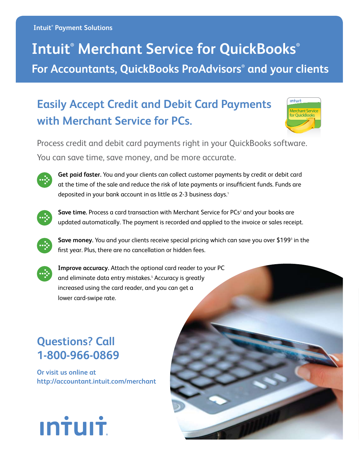# **Intuit® Merchant Service for QuickBooks® For Accountants, QuickBooks ProAdvisors® and your clients**

## **Easily Accept Credit and Debit Card Payments with Merchant Service for PCs.**

| intuit.                                   |
|-------------------------------------------|
| <b>Merchant Service</b><br>for OuickBooks |
|                                           |
|                                           |

Process credit and debit card payments right in your QuickBooks software. You can save time, save money, and be more accurate.



**Get paid faster.** You and your clients can collect customer payments by credit or debit card at the time of the sale and reduce the risk of late payments or insufficient funds. Funds are deposited in your bank account in as little as 2-3 business days.<sup>1</sup>



Save time. Process a card transaction with Merchant Service for PCs<sup>2</sup> and your books are updated automatically. The payment is recorded and applied to the invoice or sales receipt.

**Save money.** You and your clients receive special pricing which can save you over \$199<sup>3</sup> in the first year. Plus, there are no cancellation or hidden fees.



**Improve accuracy.** Attach the optional card reader to your PC and eliminate data entry mistakes.<sup>5</sup> Accuracy is greatly increased using the card reader, and you can get a lower card-swipe rate.

## **Questions? Call 1-800-966-0869**

**Or visit us online at http://accountant.intuit.com/merchant**